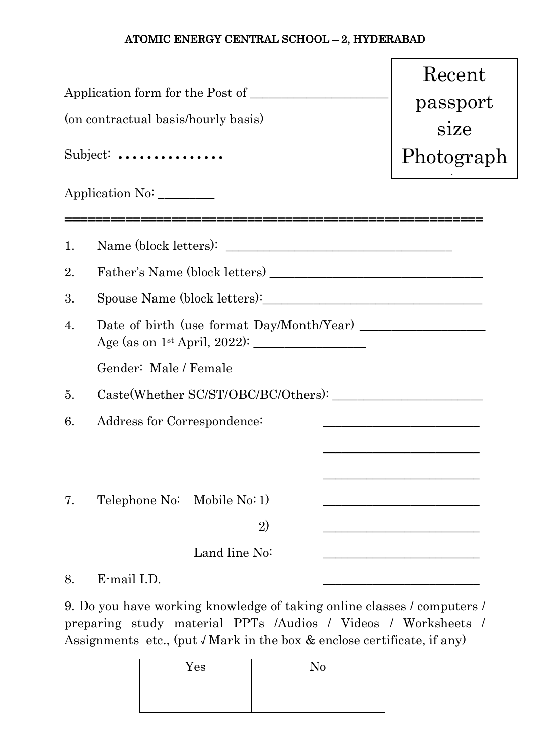## ATOMIC ENERGY CENTRAL SCHOOL – 2, HYDERABAD

|    | (on contractual basis/hourly basis)<br>Subject:                  | Recent<br>passport<br>size<br>Photograph<br>$\mathcal{L}(\mathcal{L}(\mathcal{L}(\mathcal{L}(\mathcal{L}(\mathcal{L}(\mathcal{L}(\mathcal{L}(\mathcal{L}(\mathcal{L}(\mathcal{L}(\mathcal{L}(\mathcal{L}(\mathcal{L}(\mathcal{L}(\mathcal{L}(\mathcal{L}(\mathcal{L}(\mathcal{L}(\mathcal{L}(\mathcal{L}(\mathcal{L}(\mathcal{L}(\mathcal{L}(\mathcal{L}(\mathcal{L}(\mathcal{L}(\mathcal{L}(\mathcal{L}(\mathcal{L}(\mathcal{L}(\mathcal{L}(\mathcal{L}(\mathcal{L}(\mathcal{L}(\mathcal{L}(\mathcal{$ |  |  |  |  |  |
|----|------------------------------------------------------------------|---------------------------------------------------------------------------------------------------------------------------------------------------------------------------------------------------------------------------------------------------------------------------------------------------------------------------------------------------------------------------------------------------------------------------------------------------------------------------------------------------------|--|--|--|--|--|
|    | Application No:                                                  |                                                                                                                                                                                                                                                                                                                                                                                                                                                                                                         |  |  |  |  |  |
| 1. |                                                                  |                                                                                                                                                                                                                                                                                                                                                                                                                                                                                                         |  |  |  |  |  |
| 2. |                                                                  |                                                                                                                                                                                                                                                                                                                                                                                                                                                                                                         |  |  |  |  |  |
| 3. |                                                                  |                                                                                                                                                                                                                                                                                                                                                                                                                                                                                                         |  |  |  |  |  |
| 4. | Age (as on 1 <sup>st</sup> April, 2022): $\frac{\phantom{1}}{2}$ |                                                                                                                                                                                                                                                                                                                                                                                                                                                                                                         |  |  |  |  |  |
|    | Gender: Male / Female                                            |                                                                                                                                                                                                                                                                                                                                                                                                                                                                                                         |  |  |  |  |  |
| 5. |                                                                  |                                                                                                                                                                                                                                                                                                                                                                                                                                                                                                         |  |  |  |  |  |
| 6. | Address for Correspondence:                                      | <u> 1980 - Johann John Harry Harry Harry Harry Harry Harry Harry Harry Harry Harry Harry Harry Harry Harry Harry H</u>                                                                                                                                                                                                                                                                                                                                                                                  |  |  |  |  |  |
|    |                                                                  |                                                                                                                                                                                                                                                                                                                                                                                                                                                                                                         |  |  |  |  |  |
| 7. | Telephone No: Mobile No: 1)                                      |                                                                                                                                                                                                                                                                                                                                                                                                                                                                                                         |  |  |  |  |  |
|    | 2)                                                               |                                                                                                                                                                                                                                                                                                                                                                                                                                                                                                         |  |  |  |  |  |
|    | Land line No:                                                    |                                                                                                                                                                                                                                                                                                                                                                                                                                                                                                         |  |  |  |  |  |
| 8. | E-mail I.D.                                                      |                                                                                                                                                                                                                                                                                                                                                                                                                                                                                                         |  |  |  |  |  |

9. Do you have working knowledge of taking online classes / computers / preparing study material PPTs /Audios / Videos / Worksheets / Assignments etc., (put  $\sqrt{M}$ ark in the box & enclose certificate, if any)

| Yes | No |
|-----|----|
|     |    |